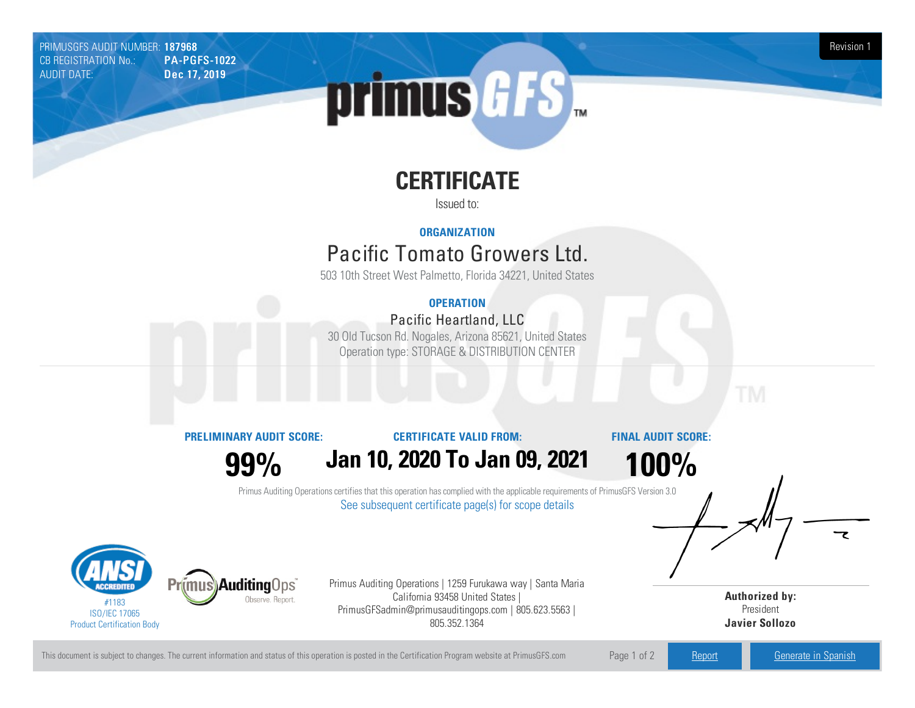PRIMUSGFS AUDIT NUMBER: 187968 Revision 1 CB REGISTRATION No.: PA-PGFS-1022 AUDIT DATE: Dec 17, 2019

# primus GFS

# **CERTIFICATE**

Issued to:

## **ORGANIZATION**

## Pacific Tomato Growers Ltd.

503 10th Street West Palmetto, Florida 34221, United States

## **OPERATION**

## Pacific Heartland, LLC

30 OldTucson Rd. Nogales, Arizona85621, United States Operation type: STORAGE & DISTRIBUTION CENTER

**PRELIMINARY AUDIT SCORE:**

#### **CERTIFICATE VALID FROM:**

**FINAL AUDIT SCORE:**

**99%**

# **Jan 10, 2020 To Jan 09, 2021**

**100%**

Primus Auditing Operations certifies that this operation has complied with the applicable requirements of PrimusGFS Version 3.0 See subsequent certificate page(s) for scope details



Primus Auditing Operations | 1259 Furukawa way | Santa Maria California 93458 United States | PrimusGFSadmin@primusauditingops.com | 805.623.5563 | 805.352.1364

**Authorized by:** President **Javier Sollozo**

This document is subject to changes. The current information and status of this operation is posted in the Certification Program website at PrimusGFS.com Page 1 of 2 [Report](https://secure.azzule.com/PGFSDocuments/PGFS_AuditReport187968_1366_1_EN.pdf) [Generate](https://secure.azzule.com/PrimusGFSAudits/pdfGenerator.aspx?AuditHeaderID=83173627761310115918333595405724114334641&AppId=38609028750&LanguageID=1&UserId=1) in Spanish